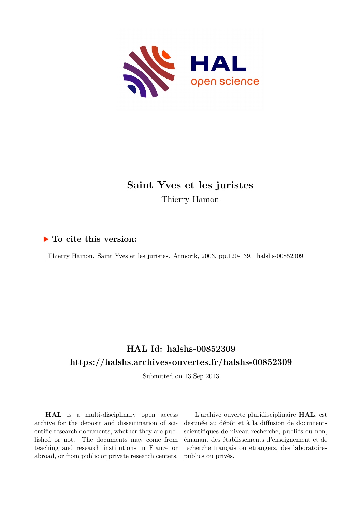

# **Saint Yves et les juristes** Thierry Hamon

### **To cite this version:**

Thierry Hamon. Saint Yves et les juristes. Armorik, 2003, pp.120-139. halshs-00852309

## **HAL Id: halshs-00852309 <https://halshs.archives-ouvertes.fr/halshs-00852309>**

Submitted on 13 Sep 2013

**HAL** is a multi-disciplinary open access archive for the deposit and dissemination of scientific research documents, whether they are published or not. The documents may come from teaching and research institutions in France or abroad, or from public or private research centers.

L'archive ouverte pluridisciplinaire **HAL**, est destinée au dépôt et à la diffusion de documents scientifiques de niveau recherche, publiés ou non, émanant des établissements d'enseignement et de recherche français ou étrangers, des laboratoires publics ou privés.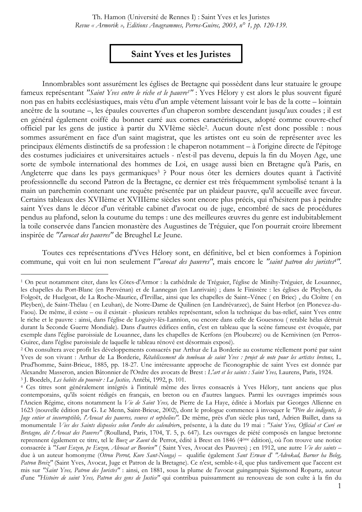## Saint Yves et les Juristes

Innombrables sont assurément les églises de Bretagne qui possèdent dans leur statuaire le groupe fameux représentant "Saint Yves entre le riche et le pauvre<sup>1</sup>" : Yves Hélory y est alors le plus souvent figuré non pas en habits ecclésiastiques, mais vêtu d'un ample vêtement laissant voir le bas de la cotte - lointain ancêtre de la soutane –, les épaules couvertes d'un chaperon sombre descendant jusqu'aux coudes ; il est en général également coiffé du bonnet carré aux cornes caractéristiques, adopté comme couvre-chef officiel par les gens de justice à partir du XVIème siècle<sup>2</sup>. Aucun doute n'est donc possible : nous sommes assurément en face d'un saint magistrat, que les artistes ont eu soin de représenter avec les principaux éléments distinctifs de sa profession : le chaperon notamment – à l'origine directe de l'épitoge des costumes judiciaires et universitaires actuels - n'est-il pas devenu, depuis la fin du Moyen Age, une sorte de symbole international des hommes de Loi, en usage aussi bien en Bretagne qu'à Paris, en Angleterre que dans les pays germaniques<sup>3</sup> ? Pour nous ôter les derniers doutes quant à l'activité professionnelle du second Patron de la Bretagne, ce dernier est très fréquemment symbolisé tenant à la main un parchemin contenant une requête présentée par un plaideur pauvre, qu'il accueille avec faveur. Certains tableaux des XVIIème et XVIIIème siècles sont encore plus précis, qui n'hésitent pas à peindre saint Yves dans le décor d'un véritable cabinet d'avocat ou de juge, encombré de sacs de procédures pendus au plafond, selon la coutume du temps : une des meilleures œuvres du genre est indubitablement la toile conservée dans l'ancien monastère des Augustines de Tréguier, que l'on pourrait croire librement inspirée de "l'avocat des pauvres" de Breughel Le Jeune.

Toutes ces représentations d'Yves Hélory sont, en définitive, bel et bien conformes à l'opinion commune, qui voit en lui non seulement l'"avocat des pauvres", mais encore le "saint patron des juristes<sup>4"</sup>.

<sup>&</sup>lt;sup>1</sup> On peut notamment citer, dans les Côtes-d'Armor : la cathédrale de Tréguier, l'église de Minihy-Tréguier, de Louannec, les chapelles du Port-Blanc (en Penvénan) et de Lannegan (en Lanrivain); dans le Finistère : les églises de Pleyben, du Folgoët, de Huelgoat, de La Roche-Maurice, d'Irvillac, ainsi que les chapelles de Saint-Vénec (en Briec), du Cloître (en Pleyben), de Saint-Thélau (en Leuhan), de Notre-Dame de Quilinen (en Landrévarzec), de Saint Herbot (en Plonevez-du-Faou). De même, il existe – ou il existait - plusieurs retables représentant, selon la technique du bas-relief, saint Yves entre le riche et le pauvre : ainsi, dans l'église de Loguivy-lès-Lannion, ou encore dans celle de Gouesnou (retable hélas détruit durant la Seconde Guerre Mondiale). Dans d'autres édifices enfin, c'est en tableau que la scène fameuse est évoquée, par exemple dans l'église paroissiale de Louannec, dans les chapelles de Kerfons (en Ploubezre) ou de Kernivinen (en Perros-Guirec, dans l'église paroissiale de laquelle le tableau rénové est désormais exposé).

<sup>&</sup>lt;sup>2</sup> On consultera avec profit les développements consacrés par Arthur de La Borderie au costume réellement porté par saint Yves de son vivant : Arthur de La Borderie, Rétablissement du tombeau de saint Yves : projet de note pour les artistes bretons, L. Prud'homme, Saint-Brieuc, 1885, pp. 18-27. Une intéressante approche de l'iconographie de saint Yves est donnée par Alexandre Masseron, ancien Bâtonnier de l'Ordre des avocats de Brest : L'art et les saints : Saint Yves, Laurens, Paris, 1924. <sup>3</sup> J. Boedels, Les habits du pouvoir : La Justice, Antébi, 1992, p. 101.

<sup>&</sup>lt;sup>4</sup> Ces titres sont généralement intégrés à l'intitulé même des livres consacrés à Yves Hélory, tant anciens que plus contemporains, qu'ils soient rédigés en français, en breton ou en d'autres langues. Parmi les ouvrages imprimés sous l'Ancien Régime, citons notamment la Vie de Saint Yves, de Pierre de La Haye, éditée à Morlaix par Georges Allienne en 1623 (nouvelle édition par G. Le Menn, Saint-Brieuc, 2002), dont le prologue commence à invoquer le "Père des indigents, le Juge entier et incorruptible, l'Avocat des pauvres, veuves et orphelins". De même, près d'un siècle plus tard, Adrien Baillet, dans sa monumentale Vies des Saints disposées selon l'ordre des calendriers, présente, à la date du 19 mai : "Saint Yves, Official et Curé en Bretagne, dit l'Avocat des Pauvres" (Roulland, Paris, 1704, T. 5, p. 647). Les ouvrages de piété composés en langue bretonne reprennent également ce titre, tel le Buez ar Zaent de Perrot, édité à Brest en 1846 (4ème édition), où l'on trouve une notice consacrée à "Sant Eozen, pe Euzen, Alvocat ar Beorien" (Saint Yves, Avocat des Pauvres) ; en 1912, une autre Vie des saints due à un auteur homonyme (Otrou Perrot, Kure Sant-Nouga) - qualifie également Sant Erwan d' "Advokad, Barner ha Beleg, Patron Breiz" (Saint Yves, Avocat, Juge et Patron de la Bretagne). Ce n'est, semble-t-il, que plus tardivement que l'accent est mis sur "Saint Yves, Patron des Juristes" : ainsi, en 1881, sous la plume de l'avocat guingampais Sigismond Ropartz, auteur d'une "Histoire de saint Yves, Patron des gens de Justice" qui contribua puissamment au renouveau de son culte à la fin du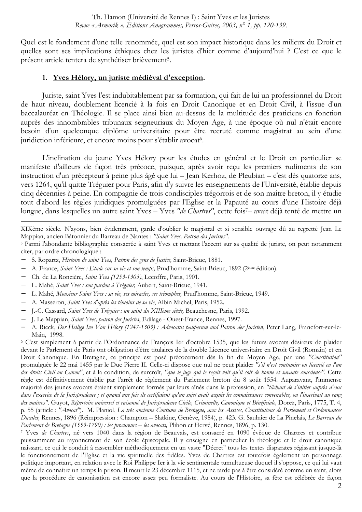Quel est le fondement d'une telle renommée, quel est son impact historique dans les milieux du Droit et quelles sont ses implications éthiques chez les juristes d'hier comme d'aujourd'hui? C'est ce que le présent article tentera de synthétiser brièvement<sup>5</sup>.

#### 1. Yves Hélory, un juriste médiéval d'exception.

Juriste, saint Yves l'est indubitablement par sa formation, qui fait de lui un professionnel du Droit de haut niveau, doublement licencié à la fois en Droit Canonique et en Droit Civil, à l'issue d'un baccalauréat en Théologie. Il se place ainsi bien au-dessus de la multitude des praticiens en fonction auprès des innombrables tribunaux seigneuriaux du Moyen Age, à une époque où nul n'était encore besoin d'un quelconque diplôme universitaire pour être recruté comme magistrat au sein d'une juridiction inférieure, et encore moins pour s'établir avocat<sup>6</sup>.

L'inclination du jeune Yves Hélory pour les études en général et le Droit en particulier se manifeste d'ailleurs de façon très précoce, puisque, après avoir reçu les premiers rudiments de son instruction d'un précepteur à peine plus âgé que lui – Jean Kerhoz, de Pleubian – c'est dès quatorze ans, vers 1264, qu'il quitte Tréguier pour Paris, afin d'y suivre les enseignements de l'Université, établie depuis cinq décennies à peine. En compagnie de trois condisciples trégorrois et de son maître breton, il y étudie tout d'abord les règles juridiques promulguées par l'Eglise et la Papauté au cours d'une Histoire déjà longue, dans lesquelles un autre saint Yves - Yves "de Chartres", cette fois<sup>7</sup>-avait déjà tenté de mettre un

XIXème siècle. N'ayons, bien évidemment, garde d'oublier le magistral et si sensible ouvrage dû au regretté Jean Le Mappian, ancien Bâtonnier du Barreau de Nantes : "Saint Yves, Patron des Juristes".

<sup>5</sup> Parmi l'abondante bibliographie consacrée à saint Yves et mettant l'accent sur sa qualité de juriste, on peut notamment citer, par ordre chronologique :

- S. Ropartz, Histoire de saint Yves, Patron des gens de Justice, Saint-Brieuc, 1881.
- A. France, Saint Yves : Etude sur sa vie et son temps, Prud'homme, Saint-Brieuc, 1892 (2ème édition).  $\equiv$
- Ch. de La Roncière, Saint Yves (1253-1303), Lecoffre, Paris, 1901.  $\overline{\phantom{m}}$
- L. Mahé, Saint Yves : son pardon à Tréguier, Aubert, Saint-Brieuc, 1941.
- L. Mahé, Monsieur Saint Yves : sa vie, ses miracles, ses triomphes, Prud'homme, Saint-Brieuc, 1949.
- A. Masseron, Saint Yves d'après les témoins de sa vie, Albin Michel, Paris, 1952.
- J.-C. Cassard, Saint Yves de Tréguier : un saint du XIIIème siècle, Beauchesne, Paris, 1992.
- J. Le Mappian, Saint Yves, patron des Juristes, Edilage Ouest-France, Rennes, 1997.
- A. Rieck, Der Heilige Ivo Von Hélory (1247-1303) : Advocatus pauperum und Patron der Juristen, Peter Lang, Francfort-sur-le-Main, 1998.

<sup>6</sup> C'est simplement à partir de l'Ordonnance de François Ier d'octobre 1535, que les futurs avocats désireux de plaider devant le Parlement de Paris ont obligation d'être titulaires de la double Licence universitaire en Droit Civil (Romain) et en Droit Canonique. En Bretagne, ce principe est posé précocement dès la fin du Moyen Age, par une "Constitution" promulguée le 22 mai 1455 par le Duc Pierre II. Celle-ci dispose que nul ne peut plaider "s'il n'est coutumier ou licencié en l'un des droits Civil ou Canon", et à la condition, de surcroît, "que le juge qui le reçoit voit qu'il soit de bonne et savante conscience". Cette règle est définitivement établie par l'arrêt de règlement du Parlement breton du 8 août 1554. Auparavant, l'immense majorité des jeunes avocats étaient simplement formés par leurs aînés dans la profession, en "tâchant de s'initier auprès d'eux dans l'exercice de la Jurisprudence ; et quand une fois ils certifiaient qu'un sujet avait acquis les connaissances convenables, on l'inscrivait au rang des maîtres". Guyot, Répertoire universel et raisonné de Jurisprudence Civile, Criminelle, Canonique et Bénéficiale, Dorez, Paris, 1775, T. 4, p. 55 (article : "Avocat"). M. Planiol, La très ancienne Coutume de Bretagne, avec les Assises, Constitutions de Parlement et Ordonnances Ducales, Rennes, 1896 (Réimpression : Champion - Slatkine, Genève, 1984), p. 423. G. Saulnier de La Pinelais, Le Barreau du Parlement de Bretagne (1553-1790) : les procureurs - les avocats, Plihon et Hervé, Rennes, 1896, p. 130.

7 Yves de Chartres, né vers 1040 dans la région de Beauvais, est consacré en 1090 évêque de Chartres et contribue puissamment au rayonnement de son école épiscopale. Il y enseigne en particulier la théologie et le droit canonique naissant, ce qui le conduit à rassembler méthodiquement en un vaste "Décret" tous les textes disparates régissant jusque-là le fonctionnement de l'Eglise et la vie spirituelle des fidèles. Yves de Chartres est toutefois également un personnage politique important, en relation avec le Roi Philippe Ier à la vie sentimentale tumultueuse duquel il s'oppose, ce qui lui vaut même de connaître un temps la prison. Il meurt le 23 décembre 1115, et ne tarde pas à être considéré comme un saint, alors que la procédure de canonisation est encore assez peu formaliste. Au cours de l'Histoire, sa fête est célébrée de façon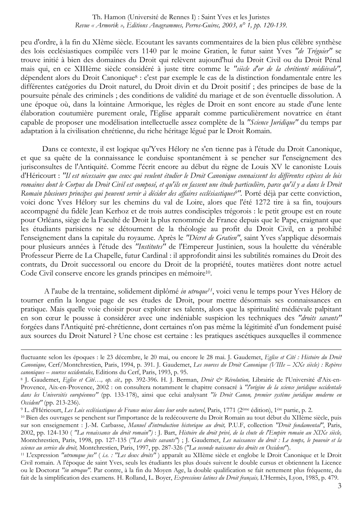peu d'ordre, à la fin du XIème siècle. Ecoutant les savants commentaires de la bien plus célèbre synthèse des lois ecclésiastiques compilée vers 1140 par le moine Gratien, le futur saint Yves "de Tréguier" se trouve initié à bien des domaines du Droit qui relèvent aujourd'hui du Droit Civil ou du Droit Pénal mais qui, en ce XIIIème siècle considéré à juste titre comme le "siècle d'or de la chrétienté médiévale", dépendent alors du Droit Canonique<sup>8</sup> : c'est par exemple le cas de la distinction fondamentale entre les différentes catégories du Droit naturel, du Droit divin et du Droit positif ; des principes de base de la poursuite pénale des criminels ; des conditions de validité du mariage et de son éventuelle dissolution. A une époque où, dans la lointaine Armorique, les règles de Droit en sont encore au stade d'une lente élaboration coutumière purement orale, l'Eglise apparaît comme particulièrement novatrice en étant capable de proposer une modélisation intellectuelle assez complète de la "Science Juridique" du temps par adaptation à la civilisation chrétienne, du riche héritage légué par le Droit Romain.

Dans ce contexte, il est logique qu'Yves Hélory ne s'en tienne pas à l'étude du Droit Canonique, et que sa quête de la connaissance le conduise spontanément à se pencher sur l'enseignement des jurisconsultes de l'Antiquité. Comme l'écrit encore au début du règne de Louis XV le canoniste Louis d'Héricourt : "Il est nécessaire que ceux qui veulent étudier le Droit Canonique connaissent les différentes espèces de lois romaines dont le Corpus du Droit Civil est composé, et qu'ils en fassent une étude particulière, parce qu'il y a dans le Droit Romain plusieurs principes qui peuvent servir à décider des affaires ecclésiastiques<sup>9"</sup>. Porté déjà par cette conviction, voici donc Yves Hélory sur les chemins du val de Loire, alors que l'été 1272 tire à sa fin, toujours accompagné du fidèle Jean Kerhoz et de trois autres condisciples trégorois : le petit groupe est en route pour Orléans, siège de la Faculté de Droit la plus renommée de France depuis que le Pape, craignant que les étudiants parisiens ne se détournent de la théologie au profit du Droit Civil, en a prohibé l'enseignement dans la capitale du royaume. Après le "Décret de Gratien", saint Yves s'applique désormais pour plusieurs années à l'étude des "Institutes" de l'Empereur Justinien, sous la houlette du vénérable Professeur Pierre de La Chapelle, futur Cardinal : il approfondit ainsi les subtilités romaines du Droit des contrats, du Droit successoral ou encore du Droit de la propriété, toutes matières dont notre actuel Code Civil conserve encore les grands principes en mémoire<sup>10</sup>.

A l'aube de la trentaine, solidement diplômé in utroque<sup>11</sup>, voici venu le temps pour Yves Hélory de tourner enfin la longue page de ses études de Droit, pour mettre désormais ses connaissances en pratique. Mais quelle voie choisir pour exploiter ses talents, alors que la spiritualité médiévale palpitant en son cœur le pousse à considérer avec une indéniable suspicion les techniques des "droits savants" forgées dans l'Antiquité pré-chrétienne, dont certaines n'on pas même la légitimité d'un fondement puisé aux sources du Droit Naturel ? Une chose est certaine : les pratiques ascétiques auxquelles il commence

fluctuante selon les époques : le 23 décembre, le 20 mai, ou encore le 28 mai. J. Gaudemet, Eglise et Cité : Histoire du Droit Canonique, Cerf/Montchrestien, Paris, 1994, p. 391. J. Gaudemet, Les sources du Droit Canonique (VIIIe - XXe siècle) : Repères canoniques - sources occidentales, Editions du Cerf, Paris, 1993, p. 95.

<sup>8</sup> J. Gaudemet, Eglise et Cité..., op. cit., pp. 392-396. H. J. Berman, Droit & Révolution, Librairie de l'Université d'Aix-en-Provence, Aix-en-Provence, 2002 : on consultera notamment le chapitre consacré à "l'origine de la science juridique occidentale dans les Universités européennes" (pp. 133-178), ainsi que celui analysant "le Droit Canon, premier système juridique moderne en Occident" (pp. 213-236).

<sup>&</sup>lt;sup>9</sup> L. d'Héricourt, Les Lois ecclésiastiques de France mises dans leur ordre naturel, Paris, 1771 (2<sup>ème</sup> édition), 1<sup>ère</sup> partie, p. 2.

<sup>&</sup>lt;sup>10</sup> Bien des ouvrages se penchent sur l'importance de la redécouverte du Droit Romain au tout début du XIIème siècle, puis sur son enseignement : J.-M. Carbasse, Manuel d'introduction historique au droit, P.U.F, collection "Droit fondamental", Paris, 2002, pp. 124-130 ("La renaissance du droit romain") : J. Bart, Histoire du droit privé, de la chute de l'Empire romain au XIXe siècle, Montchrestien, Paris, 1998, pp. 127-135 ("Les droits savants") ; J. Gaudemet, Les naissances du droit : Le temps, le pouvoir et la science au service du droit, Montchrestien, Paris, 1997, pp. 287-326 ("La seconde naissance des droits en Occident").

<sup>&</sup>lt;sup>11</sup> L'expression "utrumque jus" (i.e. : "Les deux droits") apparaît au XIIème siècle et englobe le Droit Canonique et le Droit Civil romain. A l'époque de saint Yves, seuls les étudiants les plus doués suivent le double cursus et obtiennent la Licence ou le Doctorat "in utroque". Par contre, à la fin du Moyen Age, la double qualification se fait nettement plus fréquente, du fait de la simplification des examens. H. Rolland, L. Boyer, Expressions latines du Droit français, L'Hermès, Lyon, 1985, p. 479.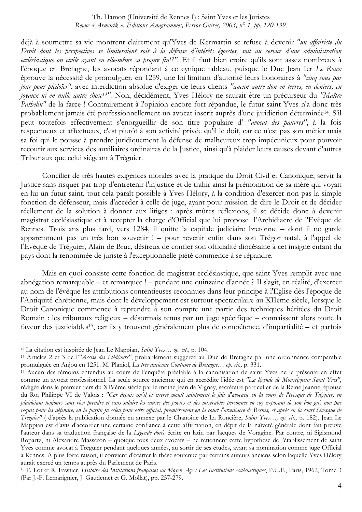déjà à soumettre sa vie montrent clairement qu'Yves de Kermartin se refuse à devenir "un affairiste du Droit dont les perspectives se limiteraient soit à la défense d'intérêts égoïstes, soit au service d'une administration ecclésiastique ou civile ayant en elle-même sa propre fin<sup>12"</sup>. Et il faut bien croire qu'ils sont assez nombreux à l'époque en Bretagne, les avocats répondant à ce cynique tableau, puisque le Duc Jean Ier Le Roux éprouve la nécessité de promulguer, en 1259, une loi limitant d'autorité leurs honoraires à "cinq sous par jour pour plédoïer", avec interdiction absolue d'exiger de leurs clients "aucun autre don en terres, en deniers, en joyaux ni en nulle autre chose<sup>13"</sup>. Non, décidément, Yves Hélory ne saurait être un précurseur du "Maître Pathelin" de la farce ! Contrairement à l'opinion encore fort répandue, le futur saint Yves n'a donc très probablement jamais été professionnellement un avocat inscrit auprès d'une juridiction déterminée<sup>14</sup>. S'il peut toutefois effectivement s'enorgueillir de son titre populaire d' "avocat des pauvres", à la fois respectueux et affectueux, c'est plutôt à son activité privée qu'il le doit, car ce n'est pas son métier mais sa foi qui le pousse à prendre juridiquement la défense de malheureux trop impécunieux pour pouvoir recourir aux services des auxiliaires ordinaires de la Justice, ainsi qu'à plaider leurs causes devant d'autres Tribunaux que celui siégeant à Tréguier.

Concilier de très hautes exigences morales avec la pratique du Droit Civil et Canonique, servir la Justice sans risquer par trop d'entretenir l'injustice et de trahir ainsi la prémonition de sa mère qui voyait en lui un futur saint, tout cela paraît possible à Yves Hélory, à la condition d'exercer non pas la simple fonction de défenseur, mais d'accéder à celle de juge, avant pour mission de dire le Droit et de décider réellement de la solution à donner aux litiges : après mûres réflexions, il se décide donc à devenir magistrat ecclésiastique et à accepter la charge d'Official que lui propose l'Archidiacre de l'Evêque de Rennes. Trois ans plus tard, vers 1284, il quitte la capitale judiciaire bretonne – dont il ne garde apparemment pas un très bon souvenir ! – pour revenir enfin dans son Trégor natal, à l'appel de l'Evêque de Tréguier, Alain de Bruc, désireux de confier son officialité diocésaine à cet insigne enfant du pavs dont la renommée de juriste à l'exceptionnelle piété commence à se répandre.

Mais en quoi consiste cette fonction de magistrat ecclésiastique, que saint Yves remplit avec une abnégation remarquable – et remarquée ! – pendant une quinzaine d'année ? Il s'agit, en réalité, d'exercer au nom de l'évêque les attributions contentieuses reconnues dans leur principe à l'Eglise dès l'époque de l'Antiquité chrétienne, mais dont le développement est surtout spectaculaire au XIIème siècle, lorsque le Droit Canonique commence à reprendre à son compte une partie des techniques héritées du Droit Romain : les tribunaux religieux – désormais tenus par un juge spécifique – connaissent alors toute la faveur des justiciables<sup>15</sup>, car ils y trouvent généralement plus de compétence, d'impartialité – et parfois

<sup>&</sup>lt;sup>12</sup> La citation est inspirée de Jean Le Mappian, Saint Yves... op. cit., p. 104.

<sup>&</sup>lt;sup>13</sup> Articles 2 et 3 de l'"Assise des Plédéours", probablement suggérée au Duc de Bretagne par une ordonnance comparable promulguée en Anjou en 1251. M. Planiol, La très ancienne Coutume de Bretagne... op. cit., p. 331.

<sup>&</sup>lt;sup>14</sup> Aucun des témoins entendus au cours de l'enquête préalable à la canonisation de saint Yves ne le présente en effet comme un avocat professionnel. La seule source ancienne qui en accrédite l'idée est "La légende de Monseigneur Saint Yves", rédigée dans le premier tiers du XIVème siècle par le moine Jean de Vignay, secrétaire particulier de la Reine Jeanne, épouse du Roi Philippe VI de Valois : "Car depuis qu'il ot exercé moult saintement le fait d'avocacie en la court de l'évesque de Tréguier, en plaidoiant toujours sans rien prendre et sans salaire les causes des povres et des misérables personnes en soy exposant de son bon gré, non pas requis pour les défendre, en la parfin fu esleu pour estre official, premièrement en la court l'arcediacre de Resnes, et après en la court l'évesque de Tréguier" (d'après la publication donnée en annexe par le Chanoine de La Roncière, Saint Yves..., op. cit., p. 182). Jean Le Mappian est d'avis d'accorder une certaine confiance à cette affirmation, en dépit de la naïveté générale dont fait preuve l'auteur dans sa traduction française de la Légende dorée écrite en latin par Jacques de Voragine. Par contre, ni Sigismond Ropartz, ni Alexandre Masseron - quoique tous deux avocats - ne retiennent cette hypothèse de l'établissement de saint Yves comme avocat à Tréguier pendant quelques années, au sortir de ses études, avant sa nomination comme juge Official à Rennes. A plus forte raison, il convient d'écarter la thèse soutenue par certains auteurs anciens selon laquelle Yves Hélory aurait exercé un temps auprès du Parlement de Paris.

<sup>&</sup>lt;sup>15</sup> F. Lot et R. Fawtier, Histoire des Institutions françaises au Moyen Age : Les Institutions ecclésiastiques, P.U.F., Paris, 1962, Tome 3 (Par J.-F. Lemarignier, J. Gaudemet et G. Mollat), pp. 257-279.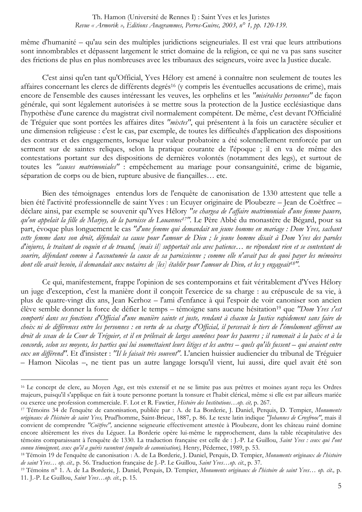même d'humanité – qu'au sein des multiples juridictions seigneuriales. Il est vrai que leurs attributions sont innombrables et dépassent largement le strict domaine de la religion, ce qui ne va pas sans susciter des frictions de plus en plus nombreuses avec les tribunaux des seigneurs, voire avec la Justice ducale.

C'est ainsi qu'en tant qu'Official, Yves Hélory est amené à connaître non seulement de toutes les affaires concernant les clercs de différents degrés<sup>16</sup> (y compris les éventuelles accusations de crime), mais encore de l'ensemble des causes intéressant les veuves, les orphelins et les "misérables personnes" de façon générale, qui sont légalement autorisées à se mettre sous la protection de la Justice ecclésiastique dans l'hypothèse d'une carence du magistrat civil normalement compétent. De même, c'est devant l'Officialité de Tréguier que sont portées les affaires dites "mixtes", qui présentent à la fois un caractère séculier et une dimension religieuse : c'est le cas, par exemple, de toutes les difficultés d'application des dispositions des contrats et des engagements, lorsque leur valeur probatoire a été solennellement renforcée par un serment sur de saintes reliques, selon la pratique courante de l'époque ; il en va de même des contestations portant sur des dispositions de dernières volontés (notamment des legs), et surtout de toutes les "causes matrimoniales" : empêchement au mariage pour consanguinité, crime de bigamie, séparation de corps ou de bien, rupture abusive de fiançailles... etc.

Bien des témoignages entendus lors de l'enquête de canonisation de 1330 attestent que telle a bien été l'activité professionnelle de saint Yves : un Ecuver originaire de Ploubezre – Jean de Coëtfrec – déclare ainsi, par exemple se souvenir qu'Yves Hélory "se chargea de l'affaire matrimoniale d'une femme pauvre, qu'on appelait la fille de Marjoy, de la paroisse de Louannec<sup>17"</sup>. Le Père Abbé du monastère de Bégard, pour sa part, évoque plus longuement le cas "d'une femme qui demandait un jeune homme en mariage : Dom Yves, sachant cette femme dans son droit, défendait sa cause pour l'amour de Dieu; le jeune homme disait à Dom Yves des paroles d'injures, le traitant de coquin et de truand, [mais il] supportait cela avec patience... ne répondant rien et se contentant de sourire, défendant comme à l'accoutumée la cause de sa paroissienne; comme elle n'avait pas de quoi payer les mémoires dont elle avait besoin, il demandait aux notaires de [les] établir pour l'amour de Dieu, et les y engageait<sup>18''</sup>.

Ce qui, manifestement, frappe l'opinion de ses contemporains et fait véritablement d'Yves Hélory un juge d'exception, c'est la manière dont il concoit l'exercice de sa charge : au crépuscule de sa vie, à plus de quatre-vingt dix ans, Jean Kerhoz - l'ami d'enfance à qui l'espoir de voir canoniser son ancien élève semble donner la force de défier le temps – témoigne sans aucune hésitation<sup>19</sup> que "Dom Yves s'est comporté dans ses fonctions d'Official d'une manière sainte et juste, rendant à chacun la Justice rapidement sans faire de choix ni de différences entre les personnes : en vertu de sa charge d'Official, il percevait le tiers de l'émolument afférent au droit de sceau de la Cour de Tréguier, et il en prélevait de larges aumônes pour les pauvres; il ramenait à la paix et à la concorde, selon ses moyens, les parties qui lui soumettaient leurs litiges et les autres - quels qu'ils fussent - qui avaient entre eux un différend". Et d'insister : "Il le faisait très souvent". L'ancien huissier audiencier du tribunal de Tréguier - Hamon Nicolas -, ne tient pas un autre langage lorsqu'il vient, lui aussi, dire quel avait été son

<sup>&</sup>lt;sup>16</sup> Le concept de clerc, au Moyen Age, est très extensif et ne se limite pas aux prêtres et moines ayant reçu les Ordres majeurs, puisqu'il s'applique en fait à toute personne portant la tonsure et l'habit clérical, même si elle est par ailleurs mariée ou exerce une profession commerciale. F. Lot et R. Fawtier, *Histoire des Institutions...op. cit*, p. 267.

<sup>&</sup>lt;sup>17</sup> Témoins 34 de l'enquête de canonisation, publiée par : A. de La Borderie, J. Daniel, Perquis, D. Tempier, Monuments originaux de l'histoire de saint Yves, Prud'homme, Saint-Brieuc, 1887, p. 86. Le texte latin indique "Johannes de Croyfrooc", mais il convient de comprendre "Coëtfrec", ancienne seigneurie effectivement attestée à Ploubezre, dont les château ruiné domine encore altièrement les rives du Léguer. La Borderie opère lui-même le rapprochement, dans la table récapitulative des témoins comparaissant à l'enquête de 1330. La traduction française est celle de : J.-P. Le Guillou, Saint Yves : ceux qui l'ont connu témoignent, ceux qu'il a guéris racontent (enquête de canonisation), Henry, Pédernec, 1989, p. 53.

<sup>18</sup> Témoin 19 de l'enquête de canonisation : A. de La Borderie, J. Daniel, Perquis, D. Tempier, Monuments originaux de l'histoire de saint Yves... op. cit., p. 56. Traduction française de J.-P. Le Guillou, Saint Yves...op. cit., p. 37.

<sup>&</sup>lt;sup>19</sup> Témoins n° 1. A. de La Borderie, J. Daniel, Perquis, D. Tempier, Monuments originaux de l'histoire de saint Yves... op. cit., p. 11. J.-P. Le Guillou, Saint Yves...op. cit., p. 15.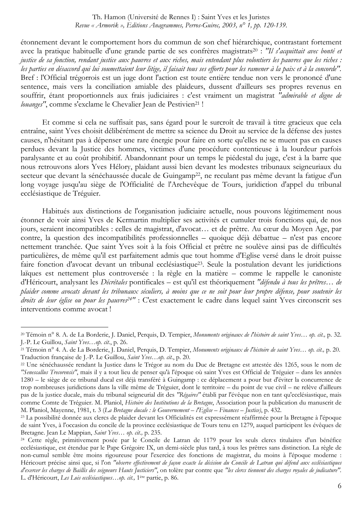étonnement devant le comportement hors du commun de son chef hiérarchique, contrastant fortement avec la pratique habituelle d'une grande partie de ses confrères magistrats<sup>20</sup>: "Il s'acquittait avec bonté et justice de sa fonction, rendant justice aux pauvres et aux riches, mais entendant plus volontiers les pauvres que les riches : les parties en désaccord qui lui soumettaient leur litige, il faisait tous ses efforts pour les ramener à la paix et à la concorde". Bref : l'Official trégorrois est un juge dont l'action est toute entière tendue non vers le prononcé d'une sentence, mais vers la conciliation amiable des plaideurs, dussent d'ailleurs ses propres revenus en souffrir, étant proportionnels aux frais judiciaires : c'est vraiment un magistrat "admirable et digne de louanges", comme s'exclame le Chevalier Jean de Pestivien<sup>21</sup>!

Et comme si cela ne suffisait pas, sans égard pour le surcroît de travail à titre gracieux que cela entraîne, saint Yves choisit délibérément de mettre sa science du Droit au service de la défense des justes causes, n'hésitant pas à dépenser une rare énergie pour faire en sorte qu'elles ne se muent pas en causes perdues devant la Justice des hommes, victimes d'une procédure contentieuse à la lourdeur parfois paralysante et au coût prohibitif. Abandonnant pour un temps le piédestal du juge, c'est à la barre que nous retrouvons alors Yves Hélory, plaidant aussi bien devant les modestes tribunaux seigneuriaux du secteur que devant la sénéchaussée ducale de Guingamp<sup>22</sup>, ne reculant pas même devant la fatigue d'un long voyage jusqu'au siège de l'Officialité de l'Archevêque de Tours, juridiction d'appel du tribunal ecclésiastique de Tréguier.

Habitués aux distinctions de l'organisation judiciaire actuelle, nous pouvons légitimement nous étonner de voir ainsi Yves de Kermartin multiplier ses activités et cumuler trois fonctions qui, de nos jours, seraient incompatibles : celles de magistrat, d'avocat... et de prêtre. Au cœur du Moyen Age, par contre, la question des incompatibilités professionnelles – quoique déjà débattue – n'est pas encore nettement tranchée. Que saint Yves soit à la fois Official et prêtre ne soulève ainsi pas de difficultés particulières, de même qu'il est parfaitement admis que tout homme d'Eglise versé dans le droit puisse faire fonction d'avocat devant un tribunal ecclésiastique<sup>23</sup>. Seule la postulation devant les juridictions laïques est nettement plus controversée : la règle en la matière – comme le rappelle le canoniste d'Héricourt, analysant les Décrétales pontificales – est qu'il est théoriquement "défendu à tous les prêtres... de plaider comme avocats devant les tribunaux séculiers, à moins que ce ne soit pour leur propre défense, pour soutenir les droits de leur église ou pour les pauvres<sup>24"</sup> : C'est exactement le cadre dans lequel saint Yves circonscrit ses interventions comme avocat!

<sup>&</sup>lt;sup>20</sup> Témoin n° 8. A. de La Borderie, J. Daniel, Perquis, D. Tempier, Monuments originaux de l'histoire de saint Yves... op. cit., p. 32. J.-P. Le Guillou, Saint Yves...op. cit., p. 26.

<sup>&</sup>lt;sup>21</sup> Témoin n° 4. A. de La Borderie, J. Daniel, Perquis, D. Tempier, *Monuments originaux de l'histoire de saint Yves... op. cit.*, p. 20. Traduction française de J.-P. Le Guillou, Saint Yves...op. cit., p. 20.

<sup>&</sup>lt;sup>22</sup> Une sénéchaussée rendant la Justice dans le Trégor au nom du Duc de Bretagne est attestée dès 1265, sous le nom de "Senescallus Trecorensis", mais il y a tout lieu de penser qu'à l'époque où saint Yves est Official de Tréguier - dans les années 1280 – le siège de ce tribunal ducal est déjà transféré à Guingamp : ce déplacement a pour but d'éviter la concurrence de trop nombreuses juridictions dans la ville même de Tréguier, dont le territoire – du point de vue civil – ne relève d'ailleurs pas de la justice ducale, mais du tribunal seigneurial dit des "Régaires" établi par l'évêque non en tant qu'ecclésiastique, mais comme Comte de Tréguier. M. Planiol, Histoire des Institutions de la Bretagne, Association pour la publication du manuscrit de M. Planiol, Mayenne, 1981, t. 3 (La Bretagne ducale : le Gouvernement - l'Eglise - Finances - Justice), p. 432.

<sup>&</sup>lt;sup>23</sup> La possibilité donnée aux clercs de plaider devant les Officialités est expressément réaffirmée pour la Bretagne à l'époque de saint Yves, à l'occasion du concile de la province ecclésiastique de Tours tenu en 1279, auquel participent les évêques de Bretagne. Jean Le Mappian, Saint Yves... op. cit., p. 235.

<sup>&</sup>lt;sup>24</sup> Cette règle, primitivement posée par le Concile de Latran de 1179 pour les seuls clercs titulaires d'un bénéfice ecclésiastique, est étendue par le Pape Grégoire IX, un demi-siècle plus tard, à tous les prêtres sans distinction. La règle de non-cumul semble être moins rigoureuse pour l'exercice des fonctions de magistrat, du moins à l'époque moderne : Héricourt précise ainsi que, si l'on "observe effectivement de façon exacte la décision du Concile de Latran qui défend aux ecclésiastiques d'exercer les charges de Baillis des seigneurs Hauts Justiciers", on tolère par contre que "les clercs tiennent des charges royales de judicature". L. d'Héricourt, Les Lois ecclésiastiques...op. cit., 1ère partie, p. 86.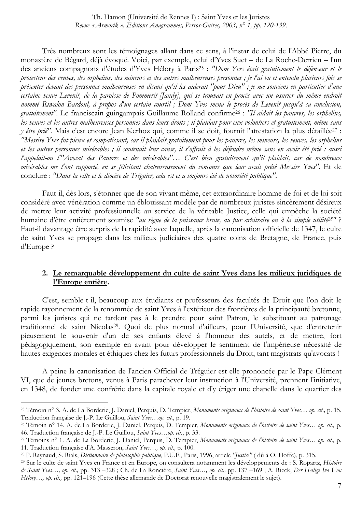Très nombreux sont les témoignages allant dans ce sens, à l'instar de celui de l'Abbé Pierre, du monastère de Bégard, déjà évoqué. Voici, par exemple, celui d'Yves Suet – de La Roche-Derrien – l'un des anciens compagnons d'études d'Yves Hélory à Paris<sup>25</sup> : "Dom Yves était gratuitement le défenseur et le protecteur des veuves, des orphelins, des mineurs et des autres malheureuses personnes; je l'ai vu et entendu plusieurs fois se présenter devant des personnes malheureuses en disant qu'il les aiderait "pour Dieu"; je me souviens en particulier d'une certaine veuve Levenit, de la paroisse de Pommerit-[Jaudy], qui se trouvait en procès avec un usurier du même endroit nommé Riwalon Bardoul, à propos d'un certain courtil; Dom Yves mena le procès de Levenit jusqu'à sa conclusion, gratuitement". Le franciscain guingampais Guillaume Rolland confirme<sup>26</sup> : "Il aidait les pauvres, les orphelins, les veuves et les autres malheureuses personnes dans leurs droits; il plaidait pour eux volontiers et gratuitement, même sans y être prié". Mais c'est encore Jean Kerhoz qui, comme il se doit, fournit l'attestation la plus détaillée<sup>27</sup> : "Messire Yves fut pieux et compatissant, car il plaidait gratuitement pour les pauvres, les mineurs, les veuves, les orphelins et les autres personnes misérables ; il soutenait leur cause, il s'offrait à les défendre même sans en avoir été prié : aussi l'appelait-on l'"Avocat des Pauvres et des misérables"... C'est bien gratuitement qu'il plaidait, car de nombreux misérables me l'ont rapporté, en se félicitant chaleureusement du concours que leur avait prêté Messire Yves". Et de conclure : "Dans la ville et le diocèse de Tréguier, cela est et a toujours été de notoriété publique".

Faut-il, dès lors, s'étonner que de son vivant même, cet extraordinaire homme de foi et de loi soit considéré avec vénération comme un éblouissant modèle par de nombreux juristes sincèrement désireux de mettre leur activité professionnelle au service de la véritable Justice, celle qui empêche la société humaine d'être entièrement soumise "au règne de la puissance brute, au pur arbitraire ou à la simple utilité<sup>28"</sup>? Faut-il davantage être surpris de la rapidité avec laquelle, après la canonisation officielle de 1347, le culte de saint Yves se propage dans les milieux judiciaires des quatre coins de Bretagne, de France, puis d'Europe?

#### 2. Le remarquable développement du culte de saint Yves dans les milieux juridiques de l'Europe entière.

C'est, semble-t-il, beaucoup aux étudiants et professeurs des facultés de Droit que l'on doit le rapide rayonnement de la renommée de saint Yves à l'extérieur des frontières de la principauté bretonne, parmi les juristes qui ne tardent pas à le prendre pour saint Patron, le substituant au patronage traditionnel de saint Nicolas<sup>29</sup>. Quoi de plus normal d'ailleurs, pour l'Université, que d'entretenir pieusement le souvenir d'un de ses enfants élevé à l'honneur des autels, et de mettre, fort pédagogiquement, son exemple en avant pour développer le sentiment de l'impérieuse nécessité de hautes exigences morales et éthiques chez les futurs professionnels du Droit, tant magistrats qu'avocats !

A peine la canonisation de l'ancien Official de Tréguier est-elle prononcée par le Pape Clément VI, que de jeunes bretons, venus à Paris parachever leur instruction à l'Université, prennent l'initiative, en 1348, de fonder une confrérie dans la capitale royale et d'y ériger une chapelle dans le quartier des

<sup>&</sup>lt;sup>25</sup> Témoin n° 3. A. de La Borderie, J. Daniel, Perquis, D. Tempier, Monuments originaux de l'histoire de saint Yves... op. cit., p. 15. Traduction française de J.-P. Le Guillou, Saint Yves...op. cit., p. 19.

<sup>&</sup>lt;sup>26</sup> Témoin n° 14. A. de La Borderie, J. Daniel, Perquis, D. Tempier, Monuments originaux de l'histoire de saint Yves... op. cit., p. 46. Traduction française de J.-P. Le Guillou, Saint Yves...op. cit., p. 33.

<sup>&</sup>lt;sup>27</sup> Témoins n° 1. A. de La Borderie, J. Daniel, Perquis, D. Tempier, Monuments originaux de l'histoire de saint Yves... op. cit., p. 11. Traduction française d'A. Masseron, Saint Yves..., op. cit., p. 100.

<sup>&</sup>lt;sup>28</sup> P. Raynaud, S. Rials, *Dictionnaire de philosophie politique*, P.U.F., Paris, 1996, article "Justice" (dû à O. Hoffe), p. 315.

<sup>&</sup>lt;sup>29</sup> Sur le culte de saint Yves en France et en Europe, on consultera notamment les développements de : S. Ropartz, *Histoire* de Saint Yves..., op. cit., pp. 313 -328; Ch. de La Roncière, Saint Yves..., op. cit., pp. 137 -169; A. Rieck, Der Heilige Ivo Von Hélory..., op. cit., pp. 121–196 (Cette thèse allemande de Doctorat renouvelle magistralement le sujet).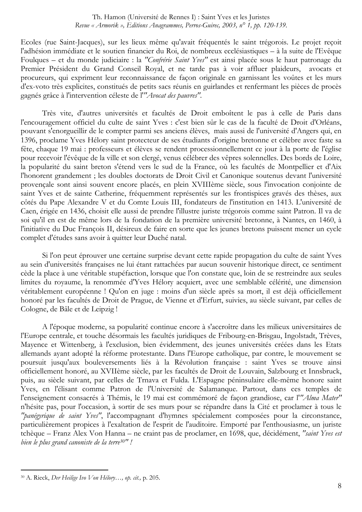Ecoles (rue Saint-Jacques), sur les lieux même qu'avait fréquentés le saint trégorois. Le projet reçoit l'adhésion immédiate et le soutien financier du Roi, de nombreux ecclésiastiques – à la suite de l'Evêque Foulques – et du monde judiciaire : la "Confrérie Saint Yves" est ainsi placée sous le haut patronage du Premier Président du Grand Conseil Royal, et ne tarde pas à voir affluer plaideurs, avocats et procureurs, qui expriment leur reconnaissance de façon originale en garnissant les voûtes et les murs d'ex-voto très explicites, constitués de petits sacs réunis en guirlandes et renfermant les pièces de procès gagnés grâce à l'intervention céleste de l'"Avocat des pauvres".

Très vite, d'autres universités et facultés de Droit emboîtent le pas à celle de Paris dans l'encouragement officiel du culte de saint Yves : c'est bien sûr le cas de la faculté de Droit d'Orléans, pouvant s'enorgueillir de le compter parmi ses anciens élèves, mais aussi de l'université d'Angers qui, en 1396, proclame Yves Hélory saint protecteur de ses étudiants d'origine bretonne et célèbre avec faste sa fête, chaque 19 mai : professeurs et élèves se rendent processionnellement ce jour à la porte de l'église pour recevoir l'évêque de la ville et son clergé, venus célébrer des vêpres solennelles. Des bords de Loire, la popularité du saint breton s'étend vers le sud de la France, où les facultés de Montpellier et d'Aix l'honorent grandement ; les doubles doctorats de Droit Civil et Canonique soutenus devant l'université provençale sont ainsi souvent encore placés, en plein XVIIIème siècle, sous l'invocation conjointe de saint Yves et de sainte Catherine, fréquemment représentés sur les frontispices gravés des thèses, aux côtés du Pape Alexandre V et du Comte Louis III, fondateurs de l'institution en 1413. L'université de Caen, érigée en 1436, choisit elle aussi de prendre l'illustre juriste trégorois comme saint Patron. Il va de soi qu'il en est de même lors de la fondation de la première université bretonne, à Nantes, en 1460, à l'initiative du Duc François II, désireux de faire en sorte que les jeunes bretons puissent mener un cycle complet d'études sans avoir à quitter leur Duché natal.

Si l'on peut éprouver une certaine surprise devant cette rapide propagation du culte de saint Yves au sein d'universités françaises ne lui étant rattachées par aucun souvenir historique direct, ce sentiment cède la place à une véritable stupéfaction, lorsque que l'on constate que, loin de se restreindre aux seules limites du royaume, la renommée d'Yves Hélory acquiert, avec une semblable célérité, une dimension véritablement européenne ! Qu'on en juge : moins d'un siècle après sa mort, il est déjà officiellement honoré par les facultés de Droit de Prague, de Vienne et d'Erfurt, suivies, au siècle suivant, par celles de Cologne, de Bâle et de Leipzig!

A l'époque moderne, sa popularité continue encore à s'accroître dans les milieux universitaires de l'Europe centrale, et touche désormais les facultés juridiques de Fribourg-en-Brisgau, Ingolstadt, Trèves, Mayence et Wittenberg, à l'exclusion, bien évidemment, des jeunes universités créées dans les Etats allemands ayant adopté la réforme protestante. Dans l'Europe catholique, par contre, le mouvement se poursuit jusqu'aux bouleversements liés à la Révolution française : saint Yves se trouve ainsi officiellement honoré, au XVIIème siècle, par les facultés de Droit de Louvain, Salzbourg et Innsbruck, puis, au siècle suivant, par celles de Trnava et Fulda. L'Espagne péninsulaire elle-même honore saint Yves, en l'élisant comme Patron de l'Université de Salamanque. Partout, dans ces temples de l'enseignement consacrés à Thémis, le 19 mai est commémoré de façon grandiose, car l'"Alma Mater" n'hésite pas, pour l'occasion, à sortir de ses murs pour se répandre dans la Cité et proclamer à tous le "panégyrique de saint Yves". l'accompagnant d'hymnes spécialement composées pour la circonstance, particulièrement propices à l'exaltation de l'esprit de l'auditoire. Emporté par l'enthousiasme, un juriste tchèque - Franz Alex Von Hanna - ne craint pas de proclamer, en 1698, que, décidément, "saint Yves est bien le plus grand canoniste de la terre<sup>30"</sup>!

<sup>&</sup>lt;sup>30</sup> A. Rieck, *Der Heilige Ivo Von Hélory..., op. cit.*, p. 205.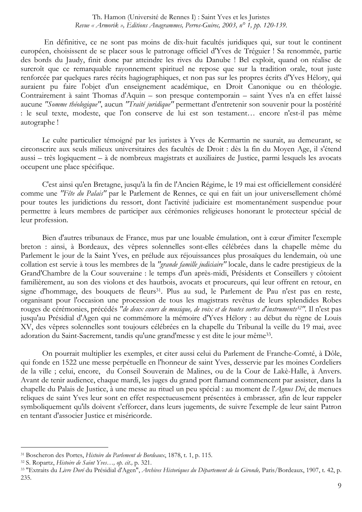En définitive, ce ne sont pas moins de dix-huit facultés juridiques qui, sur tout le continent européen, choisissent de se placer sous le patronage officiel d'Yves de Tréguier ! Sa renommée, partie des bords du Jaudy, finit donc par atteindre les rives du Danube ! Bel exploit, quand on réalise de surcroît que ce remarquable rayonnement spirituel ne repose que sur la tradition orale, tout juste renforcée par quelques rares récits hagiographiques, et non pas sur les propres écrits d'Yves Hélory, qui auraient pu faire l'objet d'un enseignement académique, en Droit Canonique ou en théologie. Contrairement à saint Thomas d'Aquin - son presque contemporain - saint Yves n'a en effet laissé aucune "Somme théologique", aucun "Traité juridique" permettant d'entretenir son souvenir pour la postérité : le seul texte, modeste, que l'on conserve de lui est son testament... encore n'est-il pas même autographe!

Le culte particulier témoigné par les juristes à Yves de Kermartin ne saurait, au demeurant, se circonscrire aux seuls milieux universitaires des facultés de Droit : dès la fin du Moyen Age, il s'étend aussi – très logiquement – à de nombreux magistrats et auxiliaires de Justice, parmi lesquels les avocats occupent une place spécifique.

C'est ainsi qu'en Bretagne, jusqu'à la fin de l'Ancien Régime, le 19 mai est officiellement considéré comme une "Fête du Palais" par le Parlement de Rennes, ce qui en fait un jour universellement chômé pour toutes les juridictions du ressort, dont l'activité judiciaire est momentanément suspendue pour permettre à leurs membres de participer aux cérémonies religieuses honorant le protecteur spécial de leur profession.

Bien d'autres tribunaux de France, mus par une louable émulation, ont à cœur d'imiter l'exemple breton : ainsi, à Bordeaux, des vêpres solennelles sont-elles célébrées dans la chapelle même du Parlement le jour de la Saint Yves, en prélude aux réjouissances plus prosaïques du lendemain, où une collation est servie à tous les membres de la "grande famille judiciaire" locale, dans le cadre prestigieux de la Grand'Chambre de la Cour souveraine : le temps d'un après-midi, Présidents et Conseillers y côtoient familièrement, au son des violons et des hautbois, avocats et procureurs, qui leur offrent en retour, en signe d'hommage, des bouquets de fleurs<sup>31</sup>. Plus au sud, le Parlement de Pau n'est pas en reste, organisant pour l'occasion une procession de tous les magistrats revêtus de leurs splendides Robes rouges de cérémonies, précédés "de deux caurs de musique, de voix et de toutes sortes d'instruments<sup>32"</sup>. Il n'est pas jusqu'au Présidial d'Agen qui ne commémore la mémoire d'Yves Hélory : au début du règne de Louis XV, des vêpres solennelles sont toujours célébrées en la chapelle du Tribunal la veille du 19 mai, avec adoration du Saint-Sacrement, tandis qu'une grand'messe y est dite le jour même<sup>33</sup>.

On pourrait multiplier les exemples, et citer aussi celui du Parlement de Franche-Comté, à Dôle, qui fonde en 1522 une messe perpétuelle en l'honneur de saint Yves, desservie par les moines Cordeliers de la ville ; celui, encore, du Conseil Souverain de Malines, ou de la Cour de Lakè-Halle, à Anvers. Avant de tenir audience, chaque mardi, les juges du grand port flamand commencent par assister, dans la chapelle du Palais de Justice, à une messe au rituel un peu spécial : au moment de l'Agnus Dei, de menues reliques de saint Yves leur sont en effet respectueusement présentées à embrasser, afin de leur rappeler symboliquement qu'ils doivent s'efforcer, dans leurs jugements, de suivre l'exemple de leur saint Patron en tentant d'associer Justice et miséricorde.

<sup>&</sup>lt;sup>31</sup> Boscheron des Portes, Histoire du Parlement de Bordeaux, 1878, t. 1, p. 115.

<sup>&</sup>lt;sup>32</sup> S. Ropartz, Histoire de Saint Yves..., op. cit., p. 321.

<sup>33 &</sup>quot;Extraits du Livre Doré du Présidial d'Agen", Archives Historiques du Département de la Gironde, Paris/Bordeaux, 1907, t. 42, p. 235.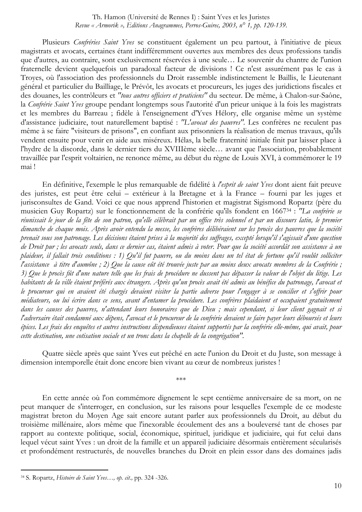Plusieurs Confréries Saint Yves se constituent également un peu partout, à l'initiative de pieux magistrats et avocats, certaines étant indifféremment ouvertes aux membres des deux professions tandis que d'autres, au contraire, sont exclusivement réservées à une seule... Le souvenir du chantre de l'union fraternelle devient quelquefois un paradoxal facteur de divisions ! Ce n'est assurément pas le cas à Troyes, où l'association des professionnels du Droit rassemble indistinctement le Baillis, le Lieutenant général et particulier du Bailliage, le Prévôt, les avocats et procureurs, les juges des juridictions fiscales et des douanes, les contrôleurs et "tous autres officiers et praticiens" du secteur. De même, à Chalon-sur-Saône, la Confrérie Saint Yves groupe pendant longtemps sous l'autorité d'un prieur unique à la fois les magistrats et les membres du Barreau ; fidèle à l'enseignement d'Yves Hélory, elle organise même un système d'assistance judiciaire, tout naturellement baptisé : "L'avocat des pauvres". Les confrères ne reculent pas même à se faire "visiteurs de prisons", en confiant aux prisonniers la réalisation de menus travaux, qu'ils vendent ensuite pour venir en aide aux miséreux. Hélas, la belle fraternité initiale finit par laisser place à l'hydre de la discorde, dans le dernier tiers du XVIIIème siècle... avant que l'association, probablement travaillée par l'esprit voltairien, ne renonce même, au début du règne de Louis XVI, à commémorer le 19 mai!

En définitive, l'exemple le plus remarquable de fidélité à *l'esprit de saint Yves* dont aient fait preuve des juristes, est peut être celui – extérieur à la Bretagne et à la France – fourni par les juges et jurisconsultes de Gand. Voici ce que nous apprend l'historien et magistrat Sigismond Ropartz (père du musicien Guy Ropartz) sur le fonctionnement de la confrérie qu'ils fondent en 1667<sup>34</sup> : "La confrérie se réunissait le jour de la fête de son patron, qu'elle célébrait par un office très solennel et par un discours latin, le premier dimanche de chaque mois. Après avoir entendu la messe, les confrères délibéraient sur les procès des pauvres que la société prenait sous son patronage. Les décisions étaient prises à la majorité des suffrages, excepté lorsqu'il s'agissait d'une question de Droit pur ; les avocats seuls, dans ce dernier cas, étaient admis à voter. Pour que la société accordât son assistance à un plaideur, il fallait trois conditions : 1) Qu'il fut pauvre, ou du moins dans un tel état de fortune qu'il voulût solliciter l'assistance à titre d'aumône ; 2) Que la cause eût été trouvée juste par au moins deux avocats membres de la Confrérie ; 3) Que le procès fût d'une nature telle que les frais de procédure ne dussent pas dépasser la valeur de l'objet du litige. Les habitants de la ville étaient préférés aux étrangers. Après qu'un procès avait été admis au bénéfice du patronage, l'avocat et le procureur qui en avaient été chargés devaient visiter la partie adverse pour l'engager à se concilier et s'offrir pour médiateurs, ou lui écrire dans ce sens, avant d'entamer la procédure. Les confrères plaidaient et occupaient gratuitement dans les causes des pauvres, n'attendant leurs honoraires que de Dieu; mais cependant, si leur client gagnait et si l'adversaire était condamné aux dépens, l'avocat et le procureur de la confrérie devaient se faire payer leurs déboursés et leurs épices. Les frais des enquêtes et autres instructions dispendieuses étaient supportés par la confrérie elle-même, qui avait, pour cette destination, une cotisation sociale et un tronc dans la chapelle de la congrégation".

Quatre siècle après que saint Yves eut prêché en acte l'union du Droit et du Juste, son message à dimension intemporelle était donc encore bien vivant au cœur de nombreux juristes !

\*\*\*

En cette année où l'on commémore dignement le sept centième anniversaire de sa mort, on ne peut manquer de s'interroger, en conclusion, sur les raisons pour lesquelles l'exemple de ce modeste magistrat breton du Moven Age sait encore autant parler aux professionnels du Droit, au début du troisième millénaire, alors même que l'inexorable écoulement des ans a bouleversé tant de choses par rapport au contexte politique, social, économique, spirituel, juridique et judiciaire, qui fut celui dans lequel vécut saint Yves : un droit de la famille et un appareil judiciaire désormais entièrement sécularisés et profondément restructurés, de nouvelles branches du Droit en plein essor dans des domaines jadis

<sup>&</sup>lt;sup>34</sup> S. Ropartz, *Histoire de Saint Yves..., op. cit.*, pp. 324 -326.